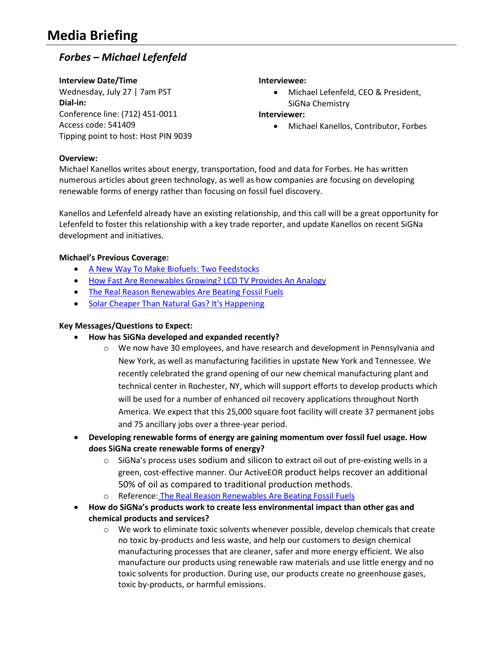# **Media Briefing**

## *Forbes – Michael Lefenfeld*

**Interview Date/Time** Wednesday, July 27 | 7am PST **Dial-in:** Conference line: (712) 451-0011 Access code: 541409 Tipping point to host: Host PIN 9039

#### **Interviewee:**

• Michael Lefenfeld, CEO & President, SiGNa Chemistry

#### **Interviewer:**

Michael Kanellos, Contributor, Forbes

#### **Overview:**

Michael Kanellos writes about energy, transportation, food and data for Forbes. He has written numerous articles about green technology, as well as how companies are focusing on developing renewable forms of energy rather than focusing on fossil fuel discovery.

Kanellos and Lefenfeld already have an existing relationship, and this call will be a great opportunity for Lefenfeld to foster this relationship with a key trade reporter, and update Kanellos on recent SiGNa development and initiatives.

### **Michael's Previous Coverage:**

- [A New Way To Make Biofuels: Two Feedstocks](http://www.forbes.com/sites/michaelkanellos/2016/06/13/a-new-way-to-make-biofuels-two-feedstocks/#7a391bfa4849)
- [How Fast Are Renewables Growing? LCD TV Provides An Analogy](http://www.forbes.com/sites/michaelkanellos/2016/06/09/how-fast-are-renewables-growing-lcd-tv-provides-an-analogy/#5f54ca5d2274)
- [The Real Reason Renewables Are Beating Fossil Fuels](http://www.forbes.com/sites/michaelkanellos/2016/01/20/the-real-reason-renewables-are-beating-fossil-fuels/#728761f3253f)
- [Solar Cheaper Than Natural Gas? It's Happening](http://www.forbes.com/sites/michaelkanellos/2015/10/05/solar-cheaper-than-natural-gas-its-happening/#59bc1225f192)

#### **Key Messages/Questions to Expect:**

#### **How has SiGNa developed and expanded recently?**

- $\circ$  We now have 30 employees, and have research and development in Pennsylvania and New York, as well as manufacturing facilities in upstate New York and Tennessee. We recently celebrated the grand opening of our new chemical manufacturing plant and technical center in Rochester, NY, which will support efforts to develop products which will be used for a number of enhanced oil recovery applications throughout North America. We expect that this 25,000 square foot facility will create 37 permanent jobs and 75 ancillary jobs over a three-year period.
- **Developing renewable forms of energy are gaining momentum over fossil fuel usage. How does SiGNa create renewable forms of energy?**
	- $\circ$  SiGNa's process uses sodium and silicon to extract oil out of pre-existing wells in a green, cost-effective manner. Our ActiveEOR product helps recover an additional 50% of oil as compared to traditional production methods.
	- o Reference: [The Real Reason Renewables Are Beating Fossil Fuels](http://www.forbes.com/sites/michaelkanellos/2016/01/20/the-real-reason-renewables-are-beating-fossil-fuels/#728761f3253f)
- **How do SiGNa's products work to create less environmental impact than other gas and chemical products and services?** 
	- $\circ$  We work to eliminate toxic solvents whenever possible, develop chemicals that create no toxic by-products and less waste, and help our customers to design chemical manufacturing processes that are cleaner, safer and more energy efficient. We also manufacture our products using renewable raw materials and use little energy and no toxic solvents for production. During use, our products create no greenhouse gases, toxic by-products, or harmful emissions.